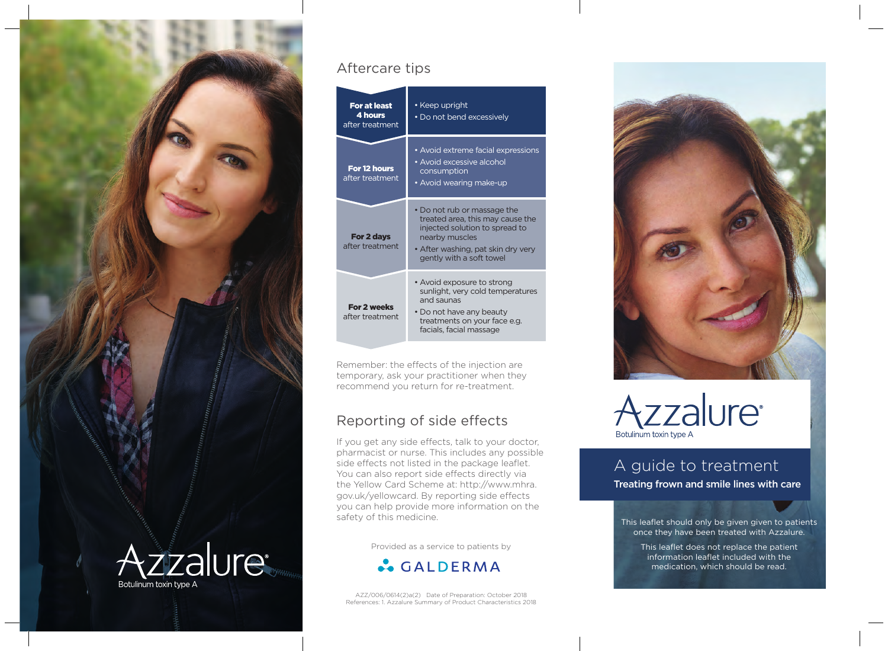

#### Aftercare tips



Remember: the effects of the injection are temporary, ask your practitioner when they recommend you return for re-treatment.

### Reporting of side effects

If you get any side effects, talk to your doctor, pharmacist or nurse. This includes any possible side effects not listed in the package leaflet. You can also report side effects directly via the Yellow Card Scheme at: http://www.mhra. gov.uk/yellowcard. By reporting side effects you can help provide more information on the safety of this medicine. This leaflet should only be given given to patients

Provided as a service to patients by



AZZ/006/0614(2)a(2) Date of Preparation: October 2018 References: 1. Azzalure Summary of Product Characteristics 2018





# A guide to treatment

Treating frown and smile lines with care

once they have been treated with Azzalure.

This leaflet does not replace the patient information leaflet included with the medication, which should be read.